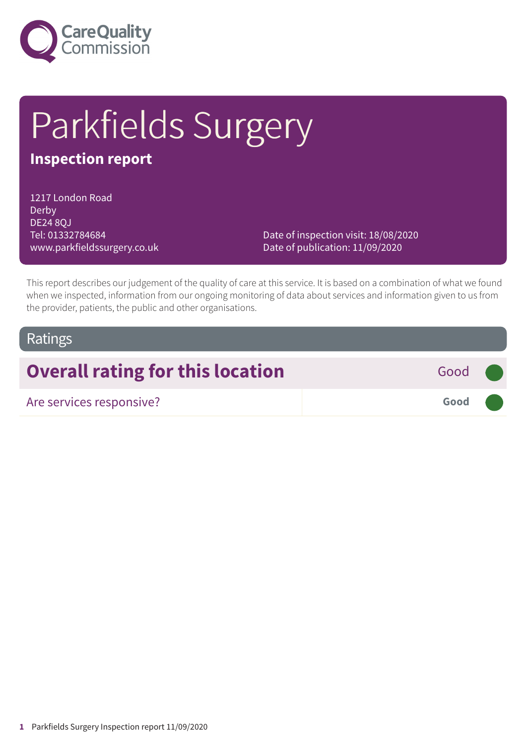

# Parkfields Surgery

# **Inspection report**

1217 London Road Derby DE24 8QJ Tel: 01332784684 www.parkfieldssurgery.co.uk

Date of inspection visit: 18/08/2020 Date of publication: 11/09/2020

This report describes our judgement of the quality of care at this service. It is based on a combination of what we found when we inspected, information from our ongoing monitoring of data about services and information given to us from the provider, patients, the public and other organisations.

### Ratings

# **Overall rating for this location** Good

Are services responsive? **Good –––**

**1** Parkfields Surgery Inspection report 11/09/2020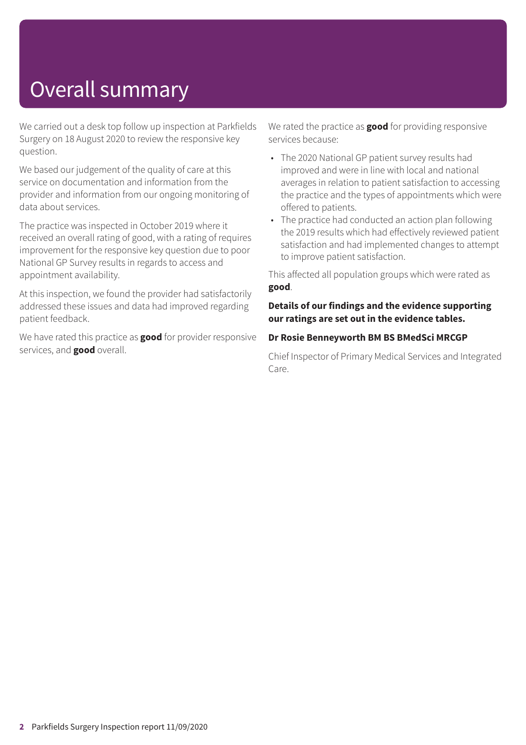# Overall summary

We carried out a desk top follow up inspection at Parkfields Surgery on 18 August 2020 to review the responsive key question.

We based our judgement of the quality of care at this service on documentation and information from the provider and information from our ongoing monitoring of data about services.

The practice was inspected in October 2019 where it received an overall rating of good, with a rating of requires improvement for the responsive key question due to poor National GP Survey results in regards to access and appointment availability.

At this inspection, we found the provider had satisfactorily addressed these issues and data had improved regarding patient feedback.

We have rated this practice as **good** for provider responsive services, and **good** overall.

We rated the practice as **good** for providing responsive services because:

- The 2020 National GP patient survey results had improved and were in line with local and national averages in relation to patient satisfaction to accessing the practice and the types of appointments which were offered to patients.
- The practice had conducted an action plan following the 2019 results which had effectively reviewed patient satisfaction and had implemented changes to attempt to improve patient satisfaction.

This affected all population groups which were rated as **good**.

#### **Details of our findings and the evidence supporting our ratings are set out in the evidence tables.**

#### **Dr Rosie Benneyworth BM BS BMedSci MRCGP**

Chief Inspector of Primary Medical Services and Integrated Care.